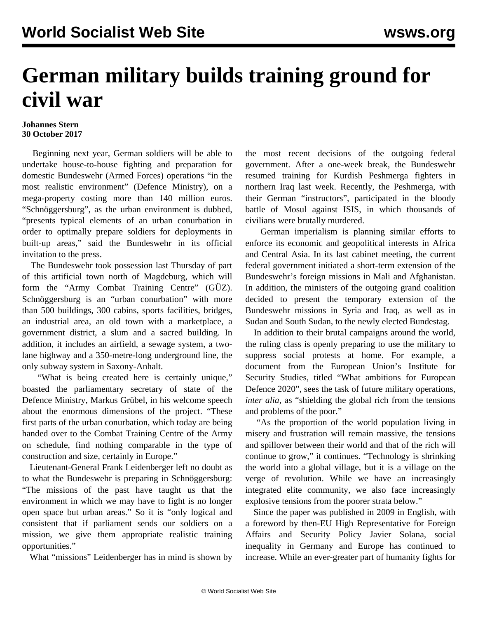## **German military builds training ground for civil war**

## **Johannes Stern 30 October 2017**

 Beginning next year, German soldiers will be able to undertake house-to-house fighting and preparation for domestic Bundeswehr (Armed Forces) operations "in the most realistic environment" (Defence Ministry), on a mega-property costing more than 140 million euros. "Schnöggersburg", as the urban environment is dubbed, "presents typical elements of an urban conurbation in order to optimally prepare soldiers for deployments in built-up areas," said the Bundeswehr in its official invitation to the press.

 The Bundeswehr took possession last Thursday of part of this artificial town north of Magdeburg, which will form the "Army Combat Training Centre" (GÜZ). Schnöggersburg is an "urban conurbation" with more than 500 buildings, 300 cabins, sports facilities, bridges, an industrial area, an old town with a marketplace, a government district, a slum and a sacred building. In addition, it includes an airfield, a sewage system, a twolane highway and a 350-metre-long underground line, the only subway system in Saxony-Anhalt.

 "What is being created here is certainly unique," boasted the parliamentary secretary of state of the Defence Ministry, Markus Grübel, in his welcome speech about the enormous dimensions of the project. "These first parts of the urban conurbation, which today are being handed over to the Combat Training Centre of the Army on schedule, find nothing comparable in the type of construction and size, certainly in Europe."

 Lieutenant-General Frank Leidenberger left no doubt as to what the Bundeswehr is preparing in Schnöggersburg: "The missions of the past have taught us that the environment in which we may have to fight is no longer open space but urban areas." So it is "only logical and consistent that if parliament sends our soldiers on a mission, we give them appropriate realistic training opportunities."

What "missions" Leidenberger has in mind is shown by

the most recent decisions of the outgoing federal government. After a one-week break, the Bundeswehr resumed training for Kurdish Peshmerga fighters in northern Iraq last week. Recently, the Peshmerga, with their German "instructors", participated in the bloody battle of Mosul against ISIS, in which thousands of civilians were brutally murdered.

 German imperialism is planning similar efforts to enforce its economic and geopolitical interests in Africa and Central Asia. In its last cabinet meeting, the current federal government initiated a short-term extension of the Bundeswehr's foreign missions in Mali and Afghanistan. In addition, the ministers of the outgoing grand coalition decided to present the temporary extension of the Bundeswehr missions in Syria and Iraq, as well as in Sudan and South Sudan, to the newly elected Bundestag.

 In addition to their brutal campaigns around the world, the ruling class is openly preparing to use the military to suppress social protests at home. For example, a document from the European Union's Institute for Security Studies, titled "What ambitions for European Defence 2020", sees the task of future military operations, *inter alia*, as "shielding the global rich from the tensions and problems of the poor."

 "As the proportion of the world population living in misery and frustration will remain massive, the tensions and spillover between their world and that of the rich will continue to grow," it continues. "Technology is shrinking the world into a global village, but it is a village on the verge of revolution. While we have an increasingly integrated elite community, we also face increasingly explosive tensions from the poorer strata below."

 Since the paper was published in 2009 in English, with a foreword by then-EU High Representative for Foreign Affairs and Security Policy Javier Solana, social inequality in Germany and Europe has continued to increase. While an ever-greater part of humanity fights for